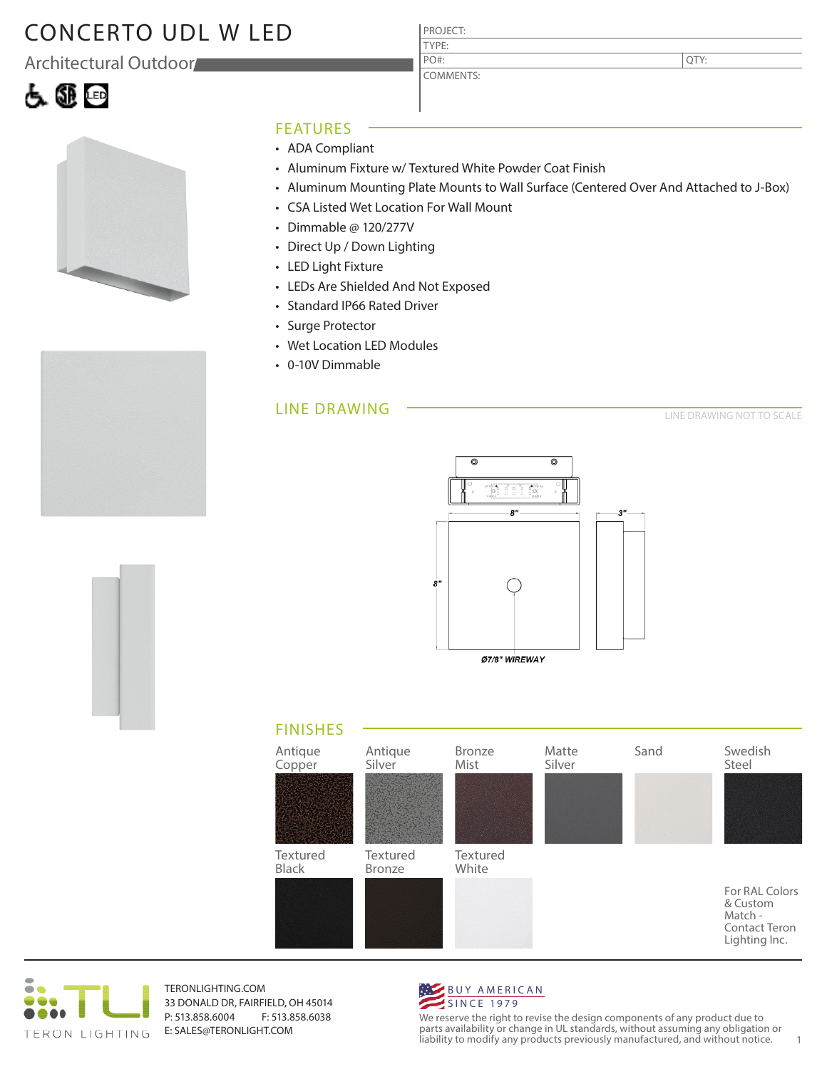## CONCERTO UDL W LED

Architectural Outdoor





### FEATURES

- ADA Compliant
- Aluminum Fixture w/ Textured White Powder Coat Finish

PROJECT: TYPE:

PO#:

COMMENTS:

- Aluminum Mounting Plate Mounts to Wall Surface (Centered Over And Attached to J-Box)
- CSA Listed Wet Location For Wall Mount
- Dimmable @ 120/277V
- Direct Up / Down Lighting
- LED Light Fixture
- LEDs Are Shielded And Not Exposed
- Standard IP66 Rated Driver
- Surge Protector
- Wet Location LED Modules
- 0-10V Dimmable

### LINE DRAWING

LINE DRAWING NOT TO SCALE



Ø7/8" WIREWAY

### FINISHES





TERONLIGHTING.COM 33 DONALD DR, FAIRFIELD, OH 45014 P: 513.858.6004 F: 513.858.6038 E: SALES@TERONLIGHT.COM



We reserve the right to revise the design components of any product due to parts availability or change in UL standards, without assuming any obligation or liability to modify any products previously manufactured, and without notice. 1